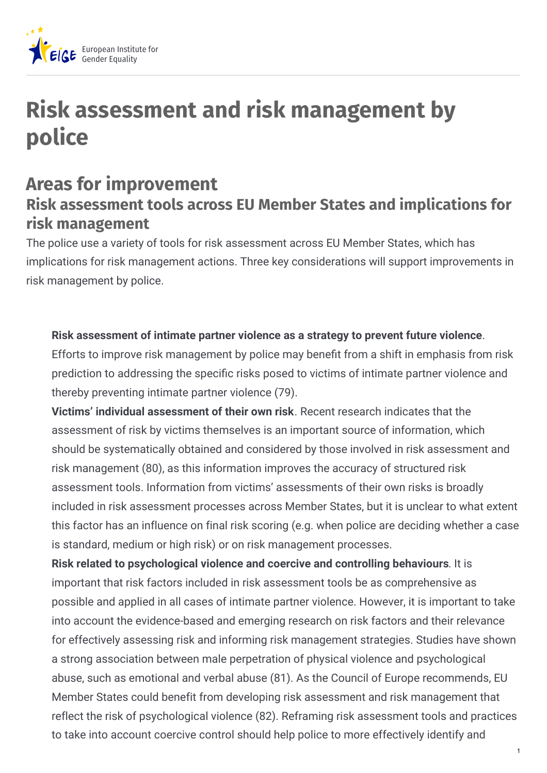

# **Risk assessment and risk management by police**

#### **Areas for improvement Risk assessment tools across EU Member States and implications for risk management**

The police use a variety of tools for risk assessment across EU Member States, which has implications for risk management actions. Three key considerations will support improvements in risk management by police.

#### **Risk assessment of intimate partner violence as a strategy to prevent future violence**.

Efforts to improve risk management by police may benefit from a shift in emphasis from risk prediction to addressing the specific risks posed to victims of intimate partner violence and thereby preventing intimate partner violence (79).

**Victims' individual assessment of their own risk**. Recent research indicates that the assessment of risk by victims themselves is an important source of information, which should be systematically obtained and considered by those involved in risk assessment and risk management (80), as this information improves the accuracy of structured risk assessment tools. Information from victims' assessments of their own risks is broadly included in risk assessment processes across Member States, but it is unclear to what extent this factor has an influence on final risk scoring (e.g. when police are deciding whether a case is standard, medium or high risk) or on risk management processes.

**Risk related to psychological violence and coercive and controlling behaviours**. It is important that risk factors included in risk assessment tools be as comprehensive as possible and applied in all cases of intimate partner violence. However, it is important to take into account the evidence-based and emerging research on risk factors and their relevance for effectively assessing risk and informing risk management strategies. Studies have shown a strong association between male perpetration of physical violence and psychological abuse, such as emotional and verbal abuse (81). As the Council of Europe recommends, EU Member States could benefit from developing risk assessment and risk management that reflect the risk of psychological violence (82). Reframing risk assessment tools and practices to take into account coercive control should help police to more effectively identify and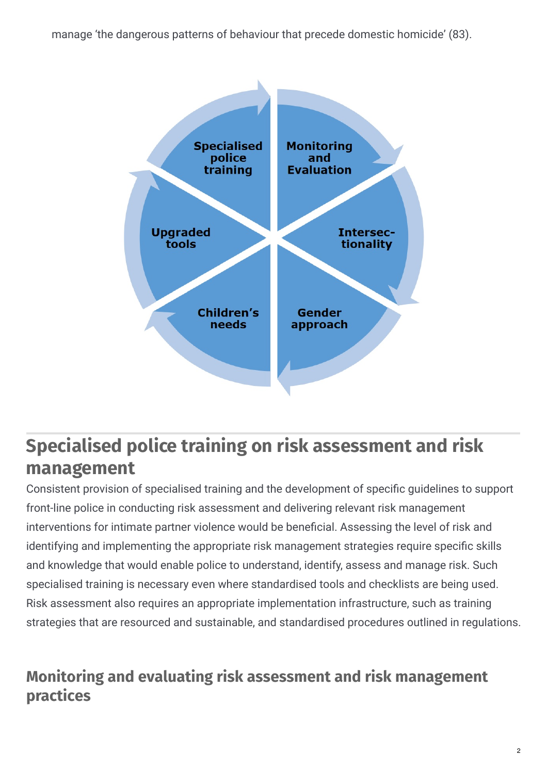manage 'the dangerous patterns of behaviour that precede domestic homicide' (83).



## **Specialised police training on risk assessment and risk management**

Consistent provision of specialised training and the development of specific quidelines to support front-line police in conducting risk assessment and delivering relevant risk management interventions for intimate partner violence would be beneficial. Assessing the level of risk and identifying and implementing the appropriate risk management strategies require specific skills and knowledge that would enable police to understand, identify, assess and manage risk. Such specialised training is necessary even where standardised tools and checklists are being used. Risk assessment also requires an appropriate implementation infrastructure, such as training strategies that are resourced and sustainable, and standardised procedures outlined in regulations.

### **Monitoring and evaluating risk assessment and risk management practices**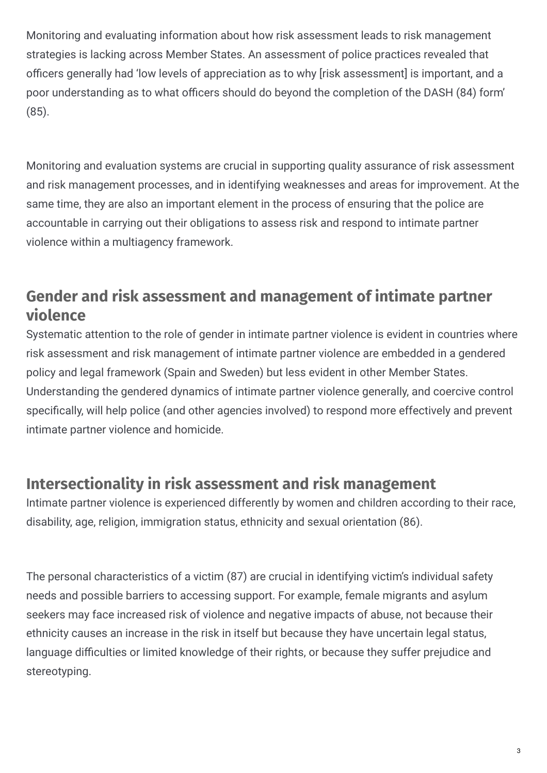Monitoring and evaluating information about how risk assessment leads to risk management strategies is lacking across Member States. An assessment of police practices revealed that officers generally had 'low levels of appreciation as to why [risk assessment] is important, and a poor understanding as to what officers should do beyond the completion of the DASH (84) form' (85).

Monitoring and evaluation systems are crucial in supporting quality assurance of risk assessment and risk management processes, and in identifying weaknesses and areas for improvement. At the same time, they are also an important element in the process of ensuring that the police are accountable in carrying out their obligations to assess risk and respond to intimate partner violence within a multiagency framework.

#### **Gender and risk assessment and management of intimate partner violence**

Systematic attention to the role of gender in intimate partner violence is evident in countries where risk assessment and risk management of intimate partner violence are embedded in a gendered policy and legal framework (Spain and Sweden) but less evident in other Member States. Understanding the gendered dynamics of intimate partner violence generally, and coercive control specifically, will help police (and other agencies involved) to respond more effectively and prevent intimate partner violence and homicide.

#### **Intersectionality in risk assessment and risk management**

Intimate partner violence is experienced differently by women and children according to their race, disability, age, religion, immigration status, ethnicity and sexual orientation (86).

The personal characteristics of a victim (87) are crucial in identifying victim's individual safety needs and possible barriers to accessing support. For example, female migrants and asylum seekers may face increased risk of violence and negative impacts of abuse, not because their ethnicity causes an increase in the risk in itself but because they have uncertain legal status, language difficulties or limited knowledge of their rights, or because they suffer prejudice and stereotyping.